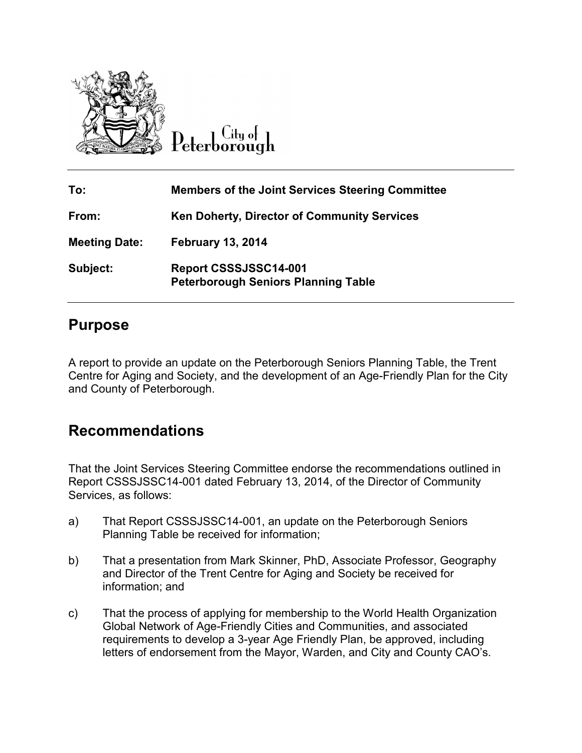

Citu of

| To:                  | <b>Members of the Joint Services Steering Committee</b>                    |
|----------------------|----------------------------------------------------------------------------|
| From:                | <b>Ken Doherty, Director of Community Services</b>                         |
| <b>Meeting Date:</b> | <b>February 13, 2014</b>                                                   |
| Subject:             | <b>Report CSSSJSSC14-001</b><br><b>Peterborough Seniors Planning Table</b> |

## **Purpose**

A report to provide an update on the Peterborough Seniors Planning Table, the Trent Centre for Aging and Society, and the development of an Age-Friendly Plan for the City and County of Peterborough.

## **Recommendations**

That the Joint Services Steering Committee endorse the recommendations outlined in Report CSSSJSSC14-001 dated February 13, 2014, of the Director of Community Services, as follows:

- a) That Report CSSSJSSC14-001, an update on the Peterborough Seniors Planning Table be received for information;
- b) That a presentation from Mark Skinner, PhD, Associate Professor, Geography and Director of the Trent Centre for Aging and Society be received for information; and
- c) That the process of applying for membership to the World Health Organization Global Network of Age-Friendly Cities and Communities, and associated requirements to develop a 3-year Age Friendly Plan, be approved, including letters of endorsement from the Mayor, Warden, and City and County CAO's.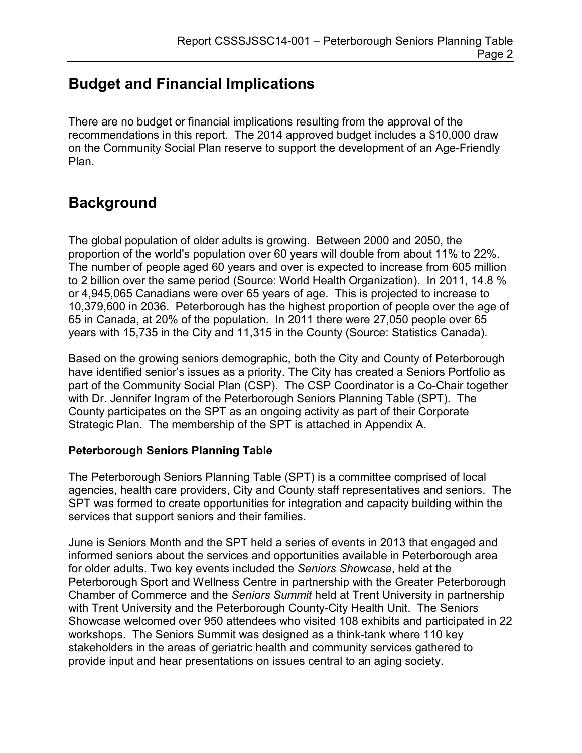# **Budget and Financial Implications**

There are no budget or financial implications resulting from the approval of the recommendations in this report. The 2014 approved budget includes a \$10,000 draw on the Community Social Plan reserve to support the development of an Age-Friendly Plan.

## **Background**

The global population of older adults is growing. Between 2000 and 2050, the proportion of the world's population over 60 years will double from about 11% to 22%. The number of people aged 60 years and over is expected to increase from 605 million to 2 billion over the same period (Source: World Health Organization). In 2011, 14.8 % or 4,945,065 Canadians were over 65 years of age. This is projected to increase to 10,379,600 in 2036. Peterborough has the highest proportion of people over the age of 65 in Canada, at 20% of the population. In 2011 there were 27,050 people over 65 years with 15,735 in the City and 11,315 in the County (Source: Statistics Canada).

Based on the growing seniors demographic, both the City and County of Peterborough have identified senior's issues as a priority. The City has created a Seniors Portfolio as part of the Community Social Plan (CSP). The CSP Coordinator is a Co-Chair together with Dr. Jennifer Ingram of the Peterborough Seniors Planning Table (SPT). The County participates on the SPT as an ongoing activity as part of their Corporate Strategic Plan. The membership of the SPT is attached in Appendix A.

#### **Peterborough Seniors Planning Table**

The Peterborough Seniors Planning Table (SPT) is a committee comprised of local agencies, health care providers, City and County staff representatives and seniors. The SPT was formed to create opportunities for integration and capacity building within the services that support seniors and their families.

June is Seniors Month and the SPT held a series of events in 2013 that engaged and informed seniors about the services and opportunities available in Peterborough area for older adults. Two key events included the *Seniors Showcase*, held at the Peterborough Sport and Wellness Centre in partnership with the Greater Peterborough Chamber of Commerce and the *Seniors Summit* held at Trent University in partnership with Trent University and the Peterborough County-City Health Unit. The Seniors Showcase welcomed over 950 attendees who visited 108 exhibits and participated in 22 workshops. The Seniors Summit was designed as a think-tank where 110 key stakeholders in the areas of geriatric health and community services gathered to provide input and hear presentations on issues central to an aging society.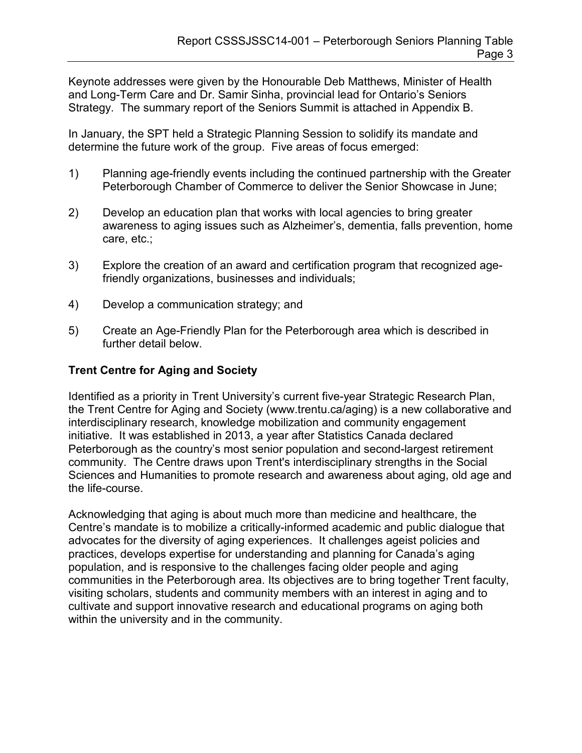Keynote addresses were given by the Honourable Deb Matthews, Minister of Health and Long-Term Care and Dr. Samir Sinha, provincial lead for Ontario's Seniors Strategy. The summary report of the Seniors Summit is attached in Appendix B.

In January, the SPT held a Strategic Planning Session to solidify its mandate and determine the future work of the group. Five areas of focus emerged:

- 1) Planning age-friendly events including the continued partnership with the Greater Peterborough Chamber of Commerce to deliver the Senior Showcase in June;
- 2) Develop an education plan that works with local agencies to bring greater awareness to aging issues such as Alzheimer's, dementia, falls prevention, home care, etc.;
- 3) Explore the creation of an award and certification program that recognized agefriendly organizations, businesses and individuals;
- 4) Develop a communication strategy; and
- 5) Create an Age-Friendly Plan for the Peterborough area which is described in further detail below.

#### **Trent Centre for Aging and Society**

Identified as a priority in Trent University's current five-year Strategic Research Plan, the Trent Centre for Aging and Society [\(www.trentu.ca/aging\)](http://www.trentu.ca/aging) is a new collaborative and interdisciplinary research, knowledge mobilization and community engagement initiative. It was established in 2013, a year after Statistics Canada declared Peterborough as the country's most senior population and second-largest retirement community. The Centre draws upon Trent's interdisciplinary strengths in the Social Sciences and Humanities to promote research and awareness about aging, old age and the life-course.

Acknowledging that aging is about much more than medicine and healthcare, the Centre's mandate is to mobilize a critically-informed academic and public dialogue that advocates for the diversity of aging experiences. It challenges ageist policies and practices, develops expertise for understanding and planning for Canada's aging population, and is responsive to the challenges facing older people and aging communities in the Peterborough area. Its objectives are to bring together Trent faculty, visiting scholars, students and community members with an interest in aging and to cultivate and support innovative research and educational programs on aging both within the university and in the community.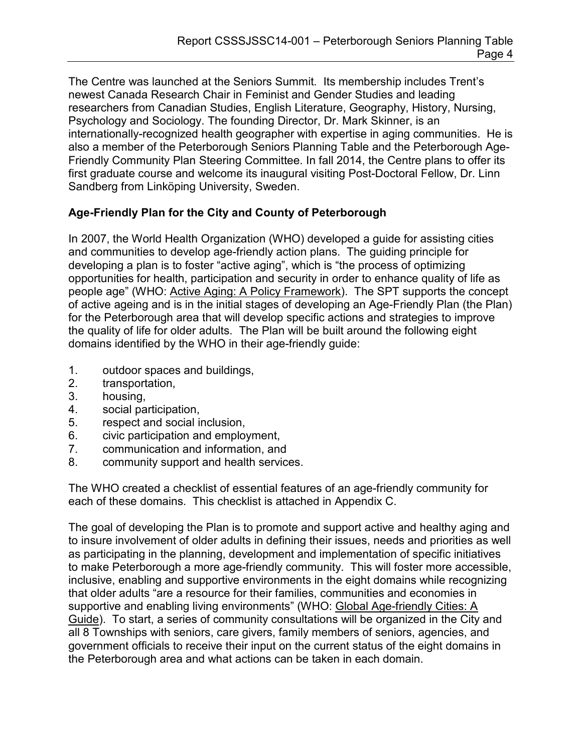The Centre was launched at the Seniors Summit. Its membership includes Trent's newest Canada Research Chair in Feminist and Gender Studies and leading researchers from Canadian Studies, English Literature, Geography, History, Nursing, Psychology and Sociology. The founding Director, Dr. Mark Skinner, is an internationally-recognized health geographer with expertise in aging communities. He is also a member of the Peterborough Seniors Planning Table and the Peterborough Age-Friendly Community Plan Steering Committee. In fall 2014, the Centre plans to offer its first graduate course and welcome its inaugural visiting Post-Doctoral Fellow, Dr. Linn Sandberg from Linköping University, Sweden.

### **Age-Friendly Plan for the City and County of Peterborough**

In 2007, the World Health Organization (WHO) developed a guide for assisting cities and communities to develop age-friendly action plans. The guiding principle for developing a plan is to foster "active aging", which is "the process of optimizing opportunities for health, participation and security in order to enhance quality of life as people age" (WHO: Active Aging: A Policy Framework). The SPT supports the concept of active ageing and is in the initial stages of developing an Age-Friendly Plan (the Plan) for the Peterborough area that will develop specific actions and strategies to improve the quality of life for older adults. The Plan will be built around the following eight domains identified by the WHO in their age-friendly guide:

- 1. outdoor spaces and buildings,
- 2. transportation,
- 3. housing,
- 4. social participation,
- 5. respect and social inclusion,
- 6. civic participation and employment,
- 7. communication and information, and
- 8. community support and health services.

The WHO created a checklist of essential features of an age-friendly community for each of these domains. This checklist is attached in Appendix C.

The goal of developing the Plan is to promote and support active and healthy aging and to insure involvement of older adults in defining their issues, needs and priorities as well as participating in the planning, development and implementation of specific initiatives to make Peterborough a more age-friendly community. This will foster more accessible, inclusive, enabling and supportive environments in the eight domains while recognizing that older adults "are a resource for their families, communities and economies in supportive and enabling living environments" (WHO: Global Age-friendly Cities: A Guide). To start, a series of community consultations will be organized in the City and all 8 Townships with seniors, care givers, family members of seniors, agencies, and government officials to receive their input on the current status of the eight domains in the Peterborough area and what actions can be taken in each domain.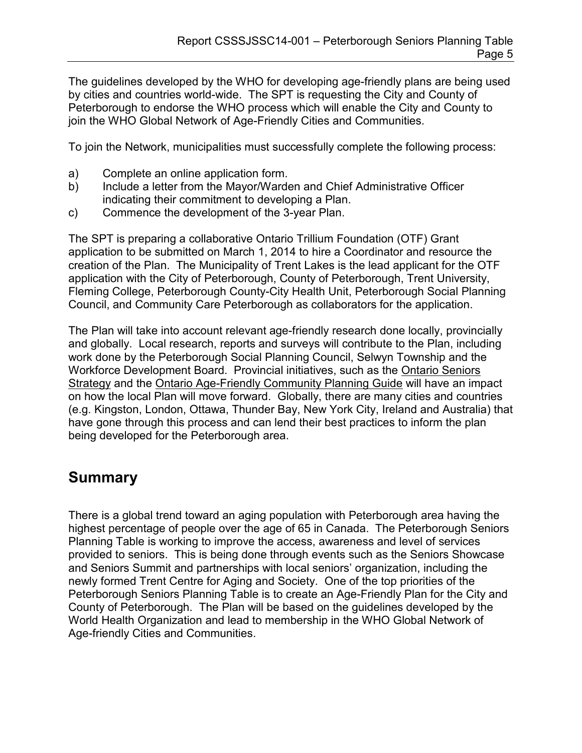The guidelines developed by the WHO for developing age-friendly plans are being used by cities and countries world-wide. The SPT is requesting the City and County of Peterborough to endorse the WHO process which will enable the City and County to join the WHO Global Network of Age-Friendly Cities and Communities.

To join the Network, municipalities must successfully complete the following process:

- a) Complete an online application form.
- b) Include a letter from the Mayor/Warden and Chief Administrative Officer indicating their commitment to developing a Plan.
- c) Commence the development of the 3-year Plan.

The SPT is preparing a collaborative Ontario Trillium Foundation (OTF) Grant application to be submitted on March 1, 2014 to hire a Coordinator and resource the creation of the Plan. The Municipality of Trent Lakes is the lead applicant for the OTF application with the City of Peterborough, County of Peterborough, Trent University, Fleming College, Peterborough County-City Health Unit, Peterborough Social Planning Council, and Community Care Peterborough as collaborators for the application.

The Plan will take into account relevant age-friendly research done locally, provincially and globally. Local research, reports and surveys will contribute to the Plan, including work done by the Peterborough Social Planning Council, Selwyn Township and the Workforce Development Board. Provincial initiatives, such as the Ontario Seniors Strategy and the Ontario Age-Friendly Community Planning Guide will have an impact on how the local Plan will move forward. Globally, there are many cities and countries (e.g. Kingston, London, Ottawa, Thunder Bay, New York City, Ireland and Australia) that have gone through this process and can lend their best practices to inform the plan being developed for the Peterborough area.

## **Summary**

There is a global trend toward an aging population with Peterborough area having the highest percentage of people over the age of 65 in Canada. The Peterborough Seniors Planning Table is working to improve the access, awareness and level of services provided to seniors. This is being done through events such as the Seniors Showcase and Seniors Summit and partnerships with local seniors' organization, including the newly formed Trent Centre for Aging and Society. One of the top priorities of the Peterborough Seniors Planning Table is to create an Age-Friendly Plan for the City and County of Peterborough. The Plan will be based on the guidelines developed by the World Health Organization and lead to membership in the WHO Global Network of Age-friendly Cities and Communities.